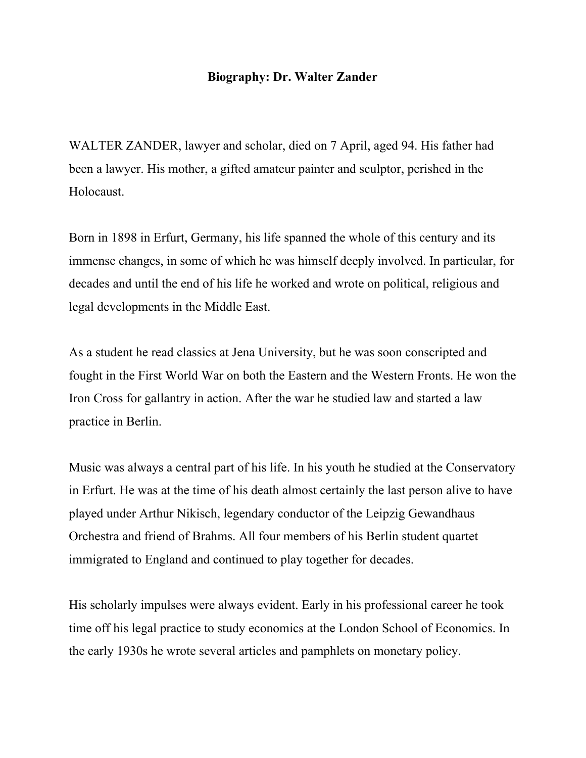## **Biography: Dr. Walter Zander**

WALTER ZANDER, lawyer and scholar, died on 7 April, aged 94. His father had been a lawyer. His mother, a gifted amateur painter and sculptor, perished in the Holocaust.

Born in 1898 in Erfurt, Germany, his life spanned the whole of this century and its immense changes, in some of which he was himself deeply involved. In particular, for decades and until the end of his life he worked and wrote on political, religious and legal developments in the Middle East.

As a student he read classics at Jena University, but he was soon conscripted and fought in the First World War on both the Eastern and the Western Fronts. He won the Iron Cross for gallantry in action. After the war he studied law and started a law practice in Berlin.

Music was always a central part of his life. In his youth he studied at the Conservatory in Erfurt. He was at the time of his death almost certainly the last person alive to have played under Arthur Nikisch, legendary conductor of the Leipzig Gewandhaus Orchestra and friend of Brahms. All four members of his Berlin student quartet immigrated to England and continued to play together for decades.

His scholarly impulses were always evident. Early in his professional career he took time off his legal practice to study economics at the London School of Economics. In the early 1930s he wrote several articles and pamphlets on monetary policy.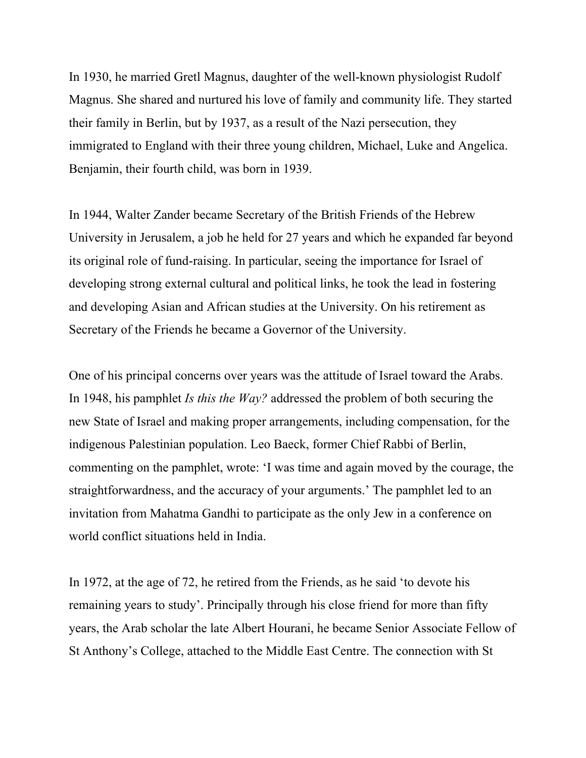In 1930, he married Gretl Magnus, daughter of the well-known physiologist Rudolf Magnus. She shared and nurtured his love of family and community life. They started their family in Berlin, but by 1937, as a result of the Nazi persecution, they immigrated to England with their three young children, Michael, Luke and Angelica. Benjamin, their fourth child, was born in 1939.

In 1944, Walter Zander became Secretary of the British Friends of the Hebrew University in Jerusalem, a job he held for 27 years and which he expanded far beyond its original role of fund-raising. In particular, seeing the importance for Israel of developing strong external cultural and political links, he took the lead in fostering and developing Asian and African studies at the University. On his retirement as Secretary of the Friends he became a Governor of the University.

One of his principal concerns over years was the attitude of Israel toward the Arabs. In 1948, his pamphlet *Is this the Way?* addressed the problem of both securing the new State of Israel and making proper arrangements, including compensation, for the indigenous Palestinian population. Leo Baeck, former Chief Rabbi of Berlin, commenting on the pamphlet, wrote: 'I was time and again moved by the courage, the straightforwardness, and the accuracy of your arguments.' The pamphlet led to an invitation from Mahatma Gandhi to participate as the only Jew in a conference on world conflict situations held in India.

In 1972, at the age of 72, he retired from the Friends, as he said 'to devote his remaining years to study'. Principally through his close friend for more than fifty years, the Arab scholar the late Albert Hourani, he became Senior Associate Fellow of St Anthony's College, attached to the Middle East Centre. The connection with St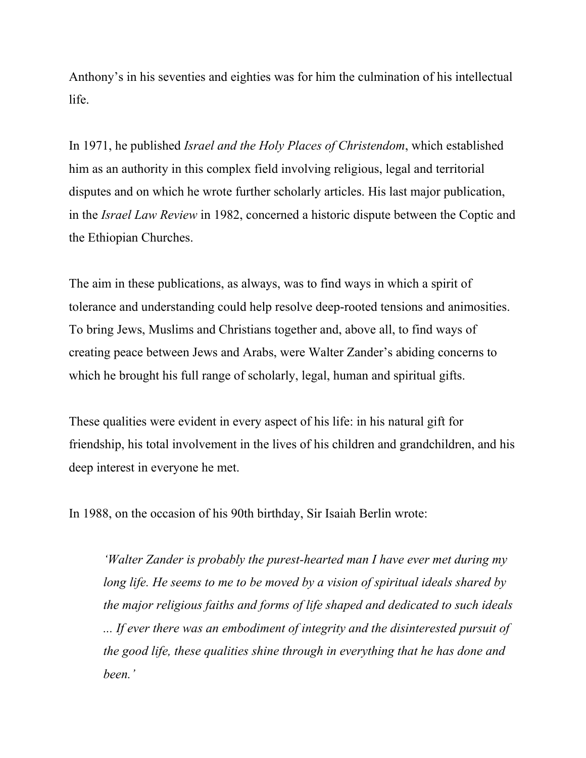Anthony's in his seventies and eighties was for him the culmination of his intellectual life.

In 1971, he published *Israel and the Holy Places of Christendom*, which established him as an authority in this complex field involving religious, legal and territorial disputes and on which he wrote further scholarly articles. His last major publication, in the *Israel Law Review* in 1982, concerned a historic dispute between the Coptic and the Ethiopian Churches.

The aim in these publications, as always, was to find ways in which a spirit of tolerance and understanding could help resolve deep-rooted tensions and animosities. To bring Jews, Muslims and Christians together and, above all, to find ways of creating peace between Jews and Arabs, were Walter Zander's abiding concerns to which he brought his full range of scholarly, legal, human and spiritual gifts.

These qualities were evident in every aspect of his life: in his natural gift for friendship, his total involvement in the lives of his children and grandchildren, and his deep interest in everyone he met.

In 1988, on the occasion of his 90th birthday, Sir Isaiah Berlin wrote:

*'Walter Zander is probably the purest-hearted man I have ever met during my long life. He seems to me to be moved by a vision of spiritual ideals shared by the major religious faiths and forms of life shaped and dedicated to such ideals ... If ever there was an embodiment of integrity and the disinterested pursuit of the good life, these qualities shine through in everything that he has done and been.'*